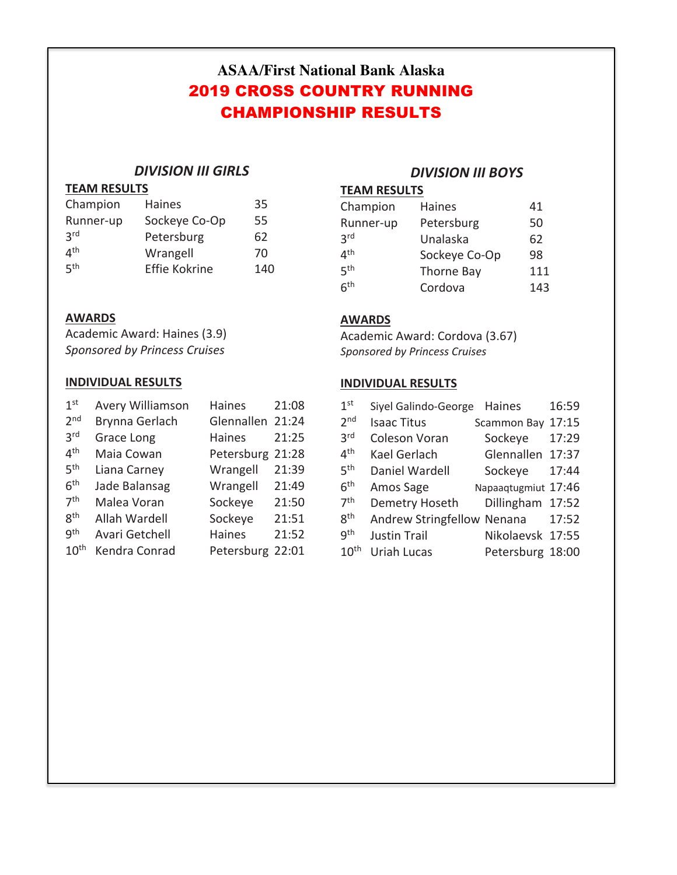# **ASAA/First National Bank Alaska** 2019 CROSS COUNTRY RUNNING CHAMPIONSHIP RESULTS

## *DIVISION III GIRLS*

## **TEAM RESULTS**

| Champion        | <b>Haines</b>        | 35  |
|-----------------|----------------------|-----|
| Runner-up       | Sockeye Co-Op        | 55  |
| <b>3rd</b>      | Petersburg           | 62  |
| 4 <sup>th</sup> | Wrangell             | 70  |
| <b>қth</b>      | <b>Effie Kokrine</b> | 140 |

## *DIVISION III BOYS*

## **TEAM RESULTS**

| Champion                       | <b>Haines</b> | 41  |
|--------------------------------|---------------|-----|
| Runner-up                      | Petersburg    | 50  |
| 3 <sup>rd</sup>                | Unalaska      | 62  |
| $\mathbf{\Lambda}^{\text{th}}$ | Sockeye Co-Op | 98  |
| 5 <sup>th</sup>                | Thorne Bay    | 111 |
| 6 <sup>th</sup>                | Cordova       | 143 |

## **AWARDS**

Academic Award: Haines (3.9) *Sponsored by Princess Cruises*

## **INDIVIDUAL RESULTS**

| 1 <sup>st</sup>  | <b>Avery Williamson</b> | <b>Haines</b>    | 21:08 |
|------------------|-------------------------|------------------|-------|
| 2 <sub>nd</sub>  | Brynna Gerlach          | Glennallen 21:24 |       |
| 3 <sup>rd</sup>  | Grace Long              | <b>Haines</b>    | 21:25 |
| 4 <sup>th</sup>  | Maia Cowan              | Petersburg 21:28 |       |
| 5 <sup>th</sup>  | Liana Carney            | Wrangell         | 21:39 |
| 6 <sup>th</sup>  | Jade Balansag           | Wrangell         | 21:49 |
| 7 <sup>th</sup>  | Malea Voran             | Sockeye          | 21:50 |
| gth              | Allah Wardell           | Sockeye          | 21:51 |
| gth              | Avari Getchell          | Haines           | 21:52 |
| 10 <sup>th</sup> | Kendra Conrad           | Petersburg 22:01 |       |

## **AWARDS**

Academic Award: Cordova (3.67) *Sponsored by Princess Cruises*

## **INDIVIDUAL RESULTS**

| 1 <sup>st</sup>   | Siyel Galindo-George              | Haines              | 16:59 |
|-------------------|-----------------------------------|---------------------|-------|
| 2 <sub>nd</sub>   | <b>Isaac Titus</b>                | Scammon Bay         | 17:15 |
| 3 <sup>rd</sup>   | <b>Coleson Voran</b>              | Sockeye             | 17:29 |
| $4^{\mathsf{th}}$ | Kael Gerlach                      | Glennallen 17:37    |       |
| 5 <sup>th</sup>   | Daniel Wardell                    | Sockeye             | 17:44 |
| $6^{\text{th}}$   | Amos Sage                         | Napaaqtugmiut 17:46 |       |
| 7 <sup>th</sup>   | Demetry Hoseth                    | Dillingham 17:52    |       |
| 8 <sup>th</sup>   | <b>Andrew Stringfellow Nenana</b> |                     | 17:52 |
| gth               | <b>Justin Trail</b>               | Nikolaevsk 17:55    |       |
| 10 <sup>th</sup>  | <b>Uriah Lucas</b>                | Petersburg 18:00    |       |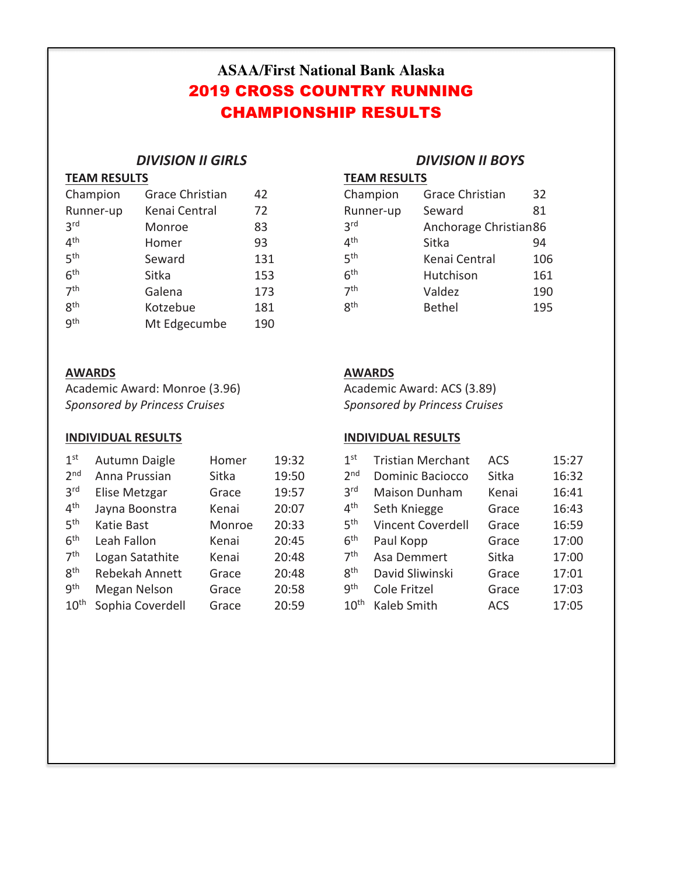# **ASAA/First National Bank Alaska** 2019 CROSS COUNTRY RUNNING CHAMPIONSHIP RESULTS

## *DIVISION II GIRLS*

### **TEAM RESULTS**

| Champion        | <b>Grace Christian</b> | 42  |
|-----------------|------------------------|-----|
| Runner-up       | Kenai Central          | 72  |
| 3 <sup>rd</sup> | Monroe                 | 83  |
| 4 <sup>th</sup> | Homer                  | 93  |
| 5 <sup>th</sup> | Seward                 | 131 |
| 6 <sup>th</sup> | Sitka                  | 153 |
| 7 <sup>th</sup> | Galena                 | 173 |
| gth             | Kotzebue               | 181 |
| qth             | Mt Edgecumbe           | 190 |

## **AWARDS**

Academic Award: Monroe (3.96) *Sponsored by Princess Cruises*

## **INDIVIDUAL RESULTS**

| 1 <sup>st</sup>  | Autumn Daigle    | Homer  | 19:32 |
|------------------|------------------|--------|-------|
| 2 <sub>nd</sub>  | Anna Prussian    | Sitka  | 19:50 |
| 3 <sup>rd</sup>  | Elise Metzgar    | Grace  | 19:57 |
| 4 <sup>th</sup>  | Jayna Boonstra   | Kenai  | 20:07 |
| 5 <sup>th</sup>  | Katie Bast       | Monroe | 20:33 |
| 6 <sup>th</sup>  | Leah Fallon      | Kenai  | 20:45 |
| 7 <sup>th</sup>  | Logan Satathite  | Kenai  | 20:48 |
| 8 <sup>th</sup>  | Rebekah Annett   | Grace  | 20:48 |
| gth              | Megan Nelson     | Grace  | 20:58 |
| 10 <sup>th</sup> | Sophia Coverdell | Grace  | 20:59 |

## *DIVISION II BOYS*

| Champion        | <b>Grace Christian</b> | 32  |
|-----------------|------------------------|-----|
| Runner-up       | Seward                 | 81  |
| 3 <sup>rd</sup> | Anchorage Christian86  |     |
| 4 <sup>th</sup> | Sitka                  | 94  |
| 5 <sup>th</sup> | Kenai Central          | 106 |
| 6 <sup>th</sup> | Hutchison              | 161 |
| 7 <sup>th</sup> | Valdez                 | 190 |
| <b>g</b> th     | <b>Bethel</b>          | 195 |

## **AWARDS**

Academic Award: ACS (3.89) *Sponsored by Princess Cruises*

## **INDIVIDUAL RESULTS**

| 1 <sup>st</sup>  | <b>Tristian Merchant</b> | <b>ACS</b> | 15:27 |
|------------------|--------------------------|------------|-------|
| 2 <sub>nd</sub>  | <b>Dominic Baciocco</b>  | Sitka      | 16:32 |
| 3 <sup>rd</sup>  | <b>Maison Dunham</b>     | Kenai      | 16:41 |
| 4 <sup>th</sup>  | Seth Kniegge             | Grace      | 16:43 |
| 5 <sup>th</sup>  | Vincent Coverdell        | Grace      | 16:59 |
| 6 <sup>th</sup>  | Paul Kopp                | Grace      | 17:00 |
| 7 <sup>th</sup>  | Asa Demmert              | Sitka      | 17:00 |
| 8 <sup>th</sup>  | David Sliwinski          | Grace      | 17:01 |
| gth              | Cole Fritzel             | Grace      | 17:03 |
| 10 <sup>th</sup> | Kaleb Smith              | ACS        | 17:05 |